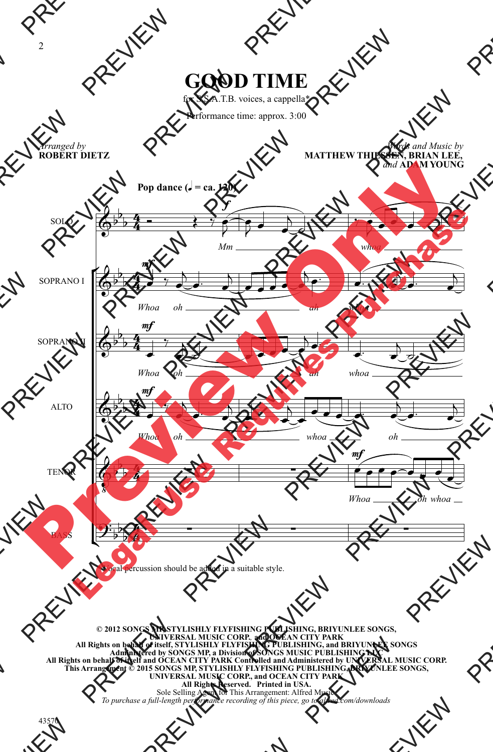## **GOOD TIME**

for S.S.A.T.B. voices, a cappella\*

Performance time: approx. 3:00

*Words and Music by*

*Arranged by* **ROBERT DIETZ**



**© 2012 SONGS MP, STYLISHLY FLYFISHING PUBLISHING, BRIYUNLEE SONGS, UNIVERSAL MUSIC CORP.***,* **and OCEAN CITY PARK All Rights on behalf of itself, STYLISHLY FLYFISHING PUBLISHING, and BRIYUNLEE SONGS Administered by SONGS MP, a Division of SONGS MUSIC PUBLISHING LLC All Rights on behalf of itself and OCEAN CITY PARK Controlled and Administered by UNIVERSAL MUSIC CORP. This Arrangement © 2015 SONGS MP, STYLISHLY FLYFISHING PUBLISHING, BRIYUNLEE SONGS, UNIVERSAL MUSIC CORP., and OCEAN CITY PARK All Rights Reserved. Printed in USA.** Sole Selling Agent for This Arrangement: Alfred Music *To purchase a full-length performance recording of this piece, go to alfred.com/downloads*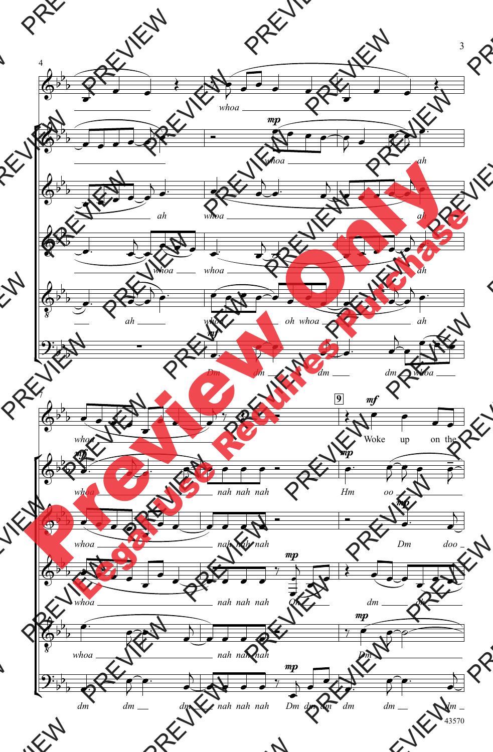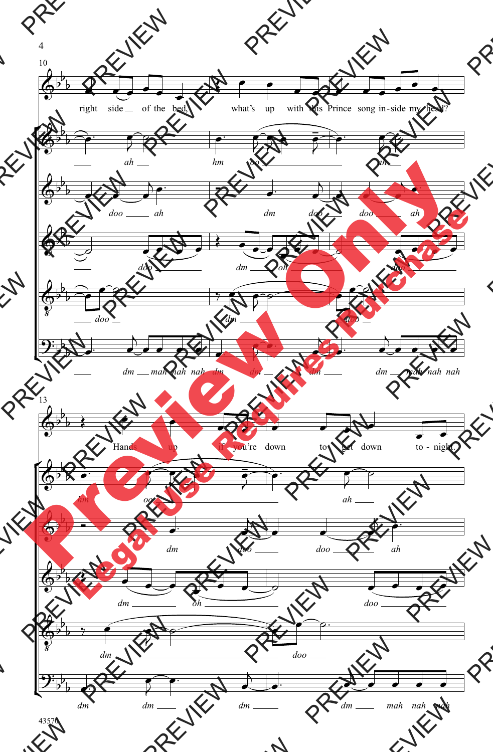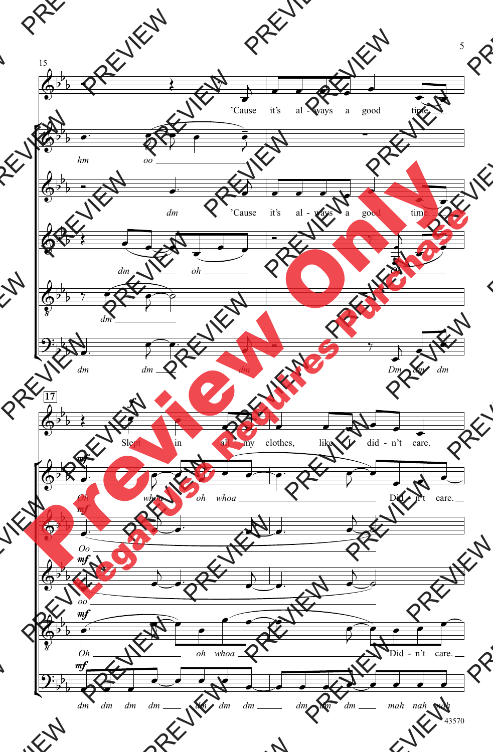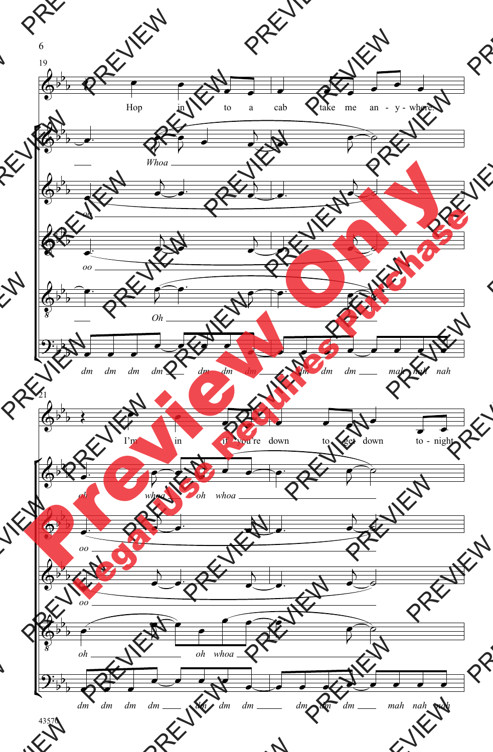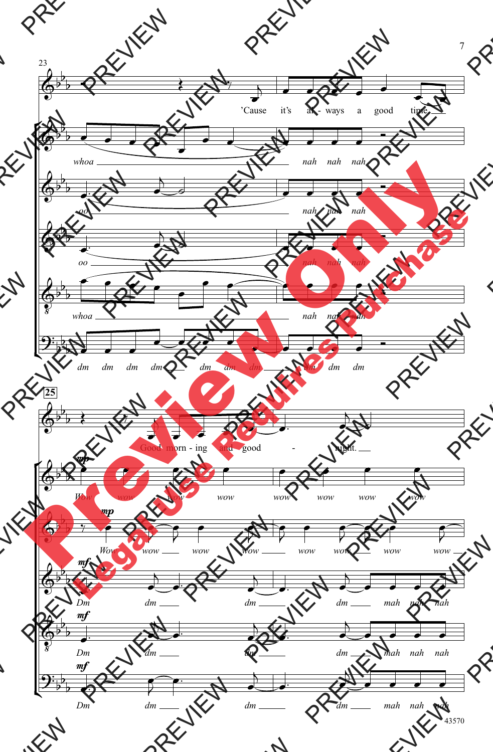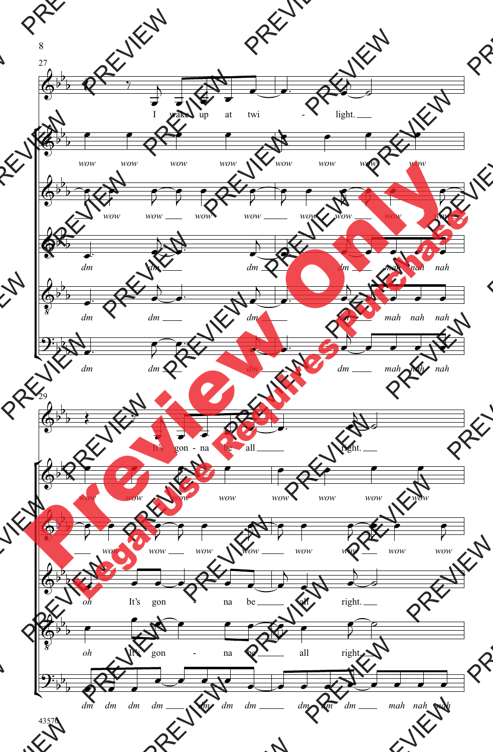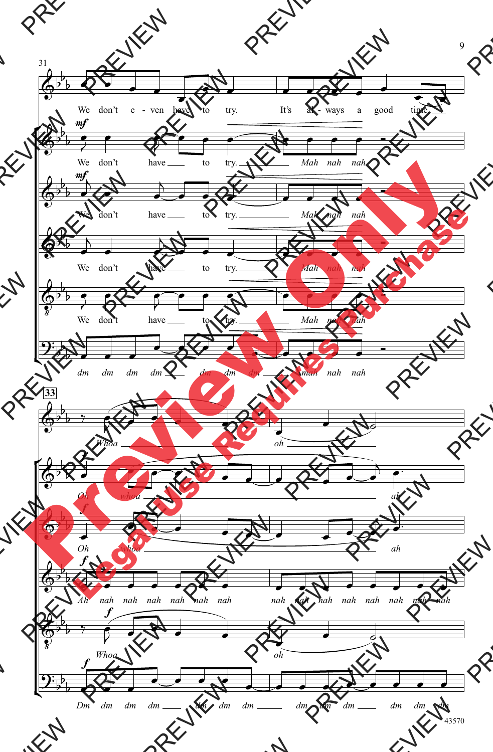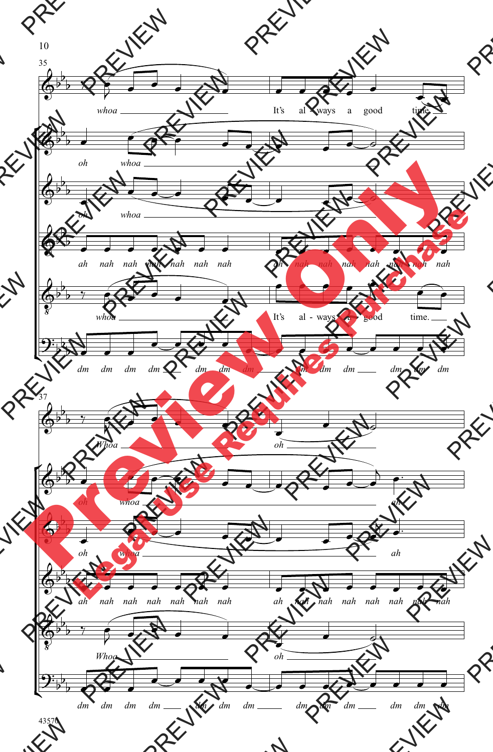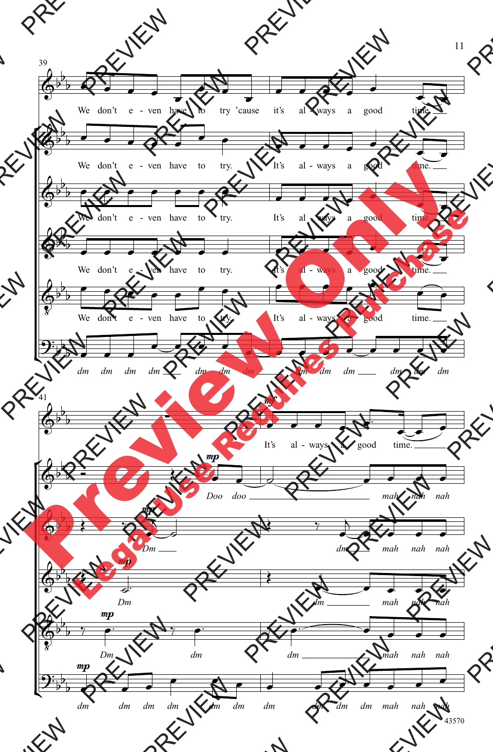![](_page_9_Figure_0.jpeg)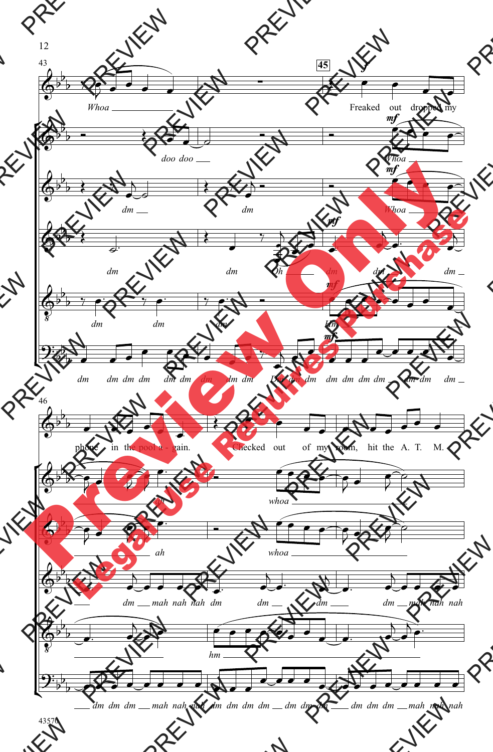![](_page_10_Figure_0.jpeg)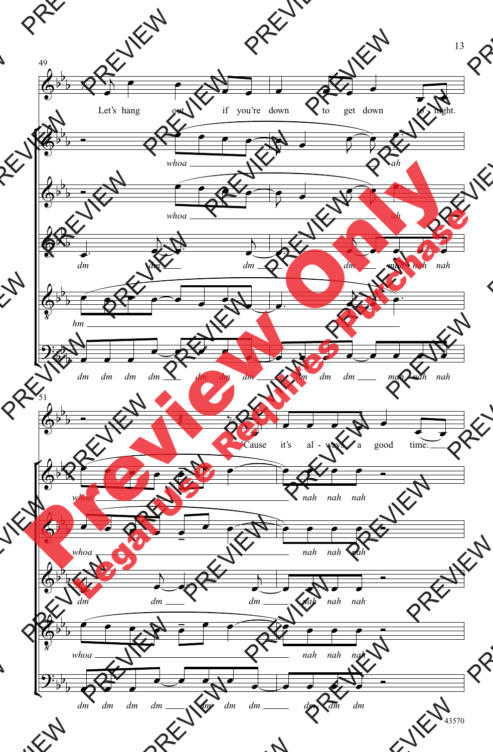![](_page_11_Figure_0.jpeg)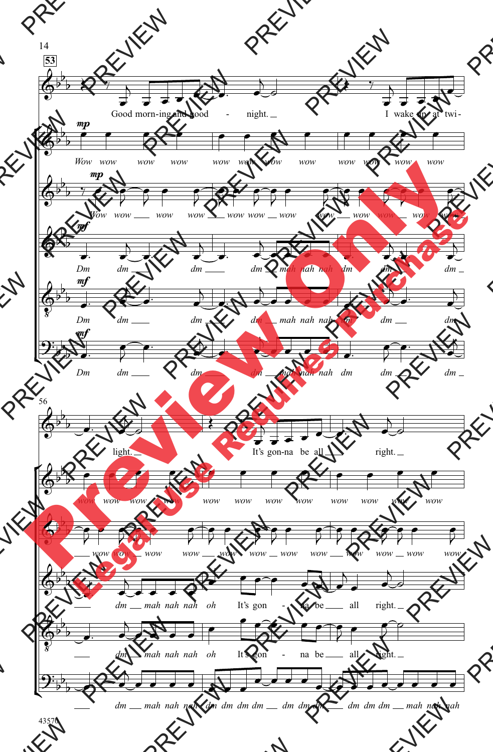![](_page_12_Figure_0.jpeg)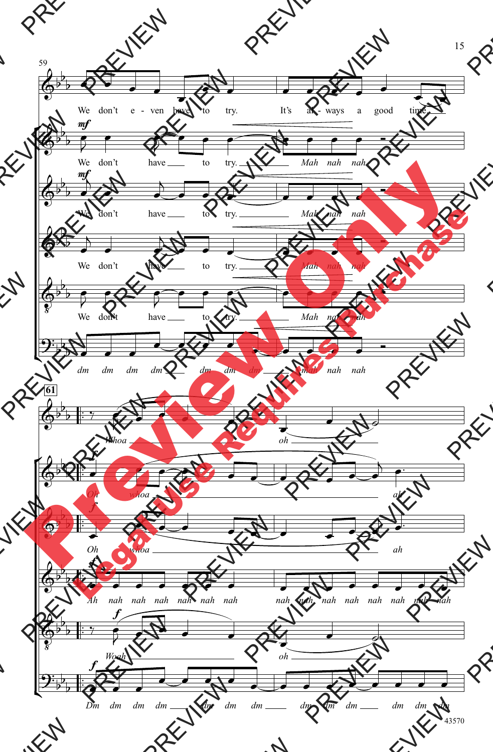![](_page_13_Figure_0.jpeg)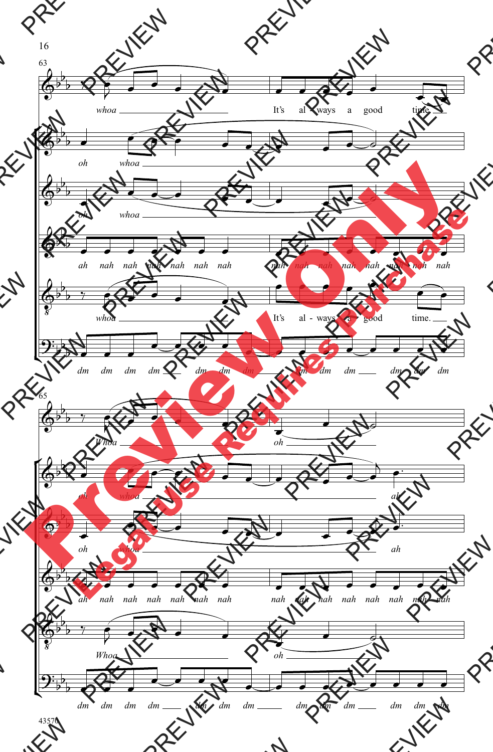![](_page_14_Figure_0.jpeg)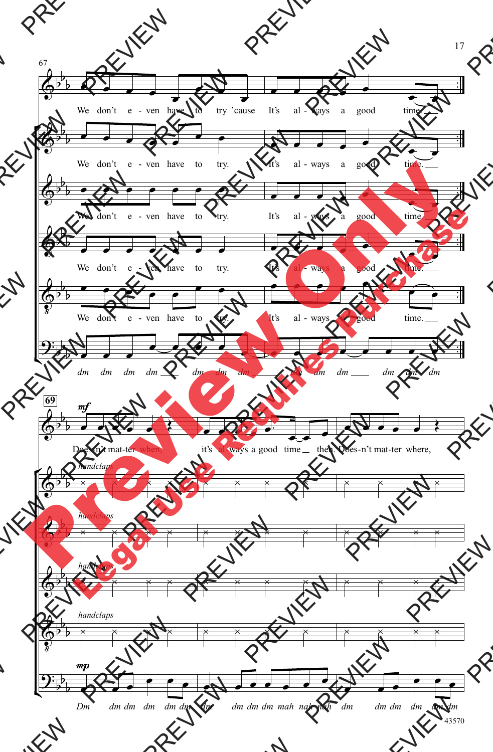![](_page_15_Figure_0.jpeg)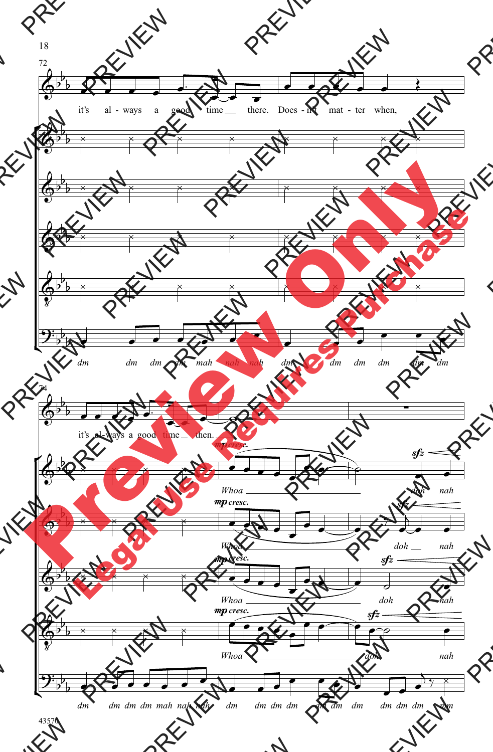![](_page_16_Figure_0.jpeg)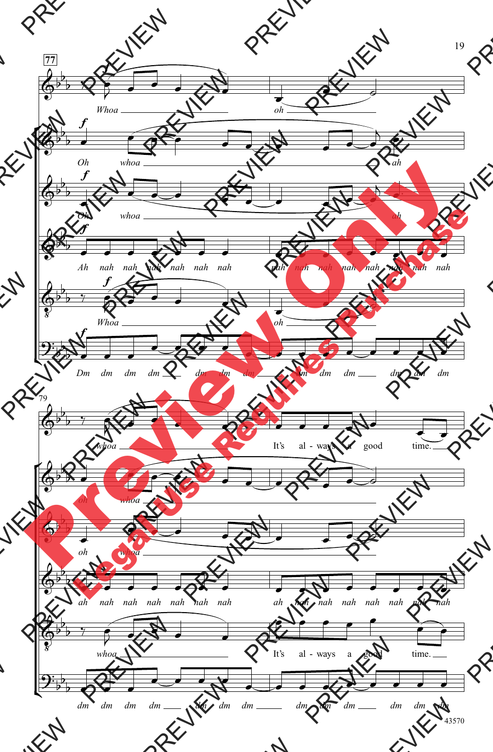![](_page_17_Figure_0.jpeg)